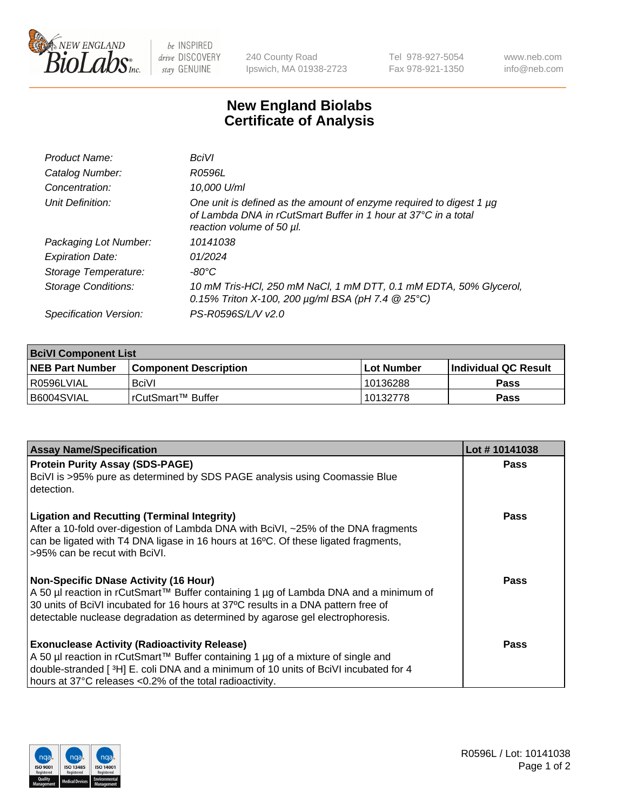

 $be$  INSPIRED drive DISCOVERY stay GENUINE

240 County Road Ipswich, MA 01938-2723 Tel 978-927-5054 Fax 978-921-1350 www.neb.com info@neb.com

## **New England Biolabs Certificate of Analysis**

| Product Name:              | BciVI                                                                                                                                                              |
|----------------------------|--------------------------------------------------------------------------------------------------------------------------------------------------------------------|
| Catalog Number:            | R0596L                                                                                                                                                             |
| Concentration:             | 10,000 U/ml                                                                                                                                                        |
| Unit Definition:           | One unit is defined as the amount of enzyme required to digest 1 µg<br>of Lambda DNA in rCutSmart Buffer in 1 hour at 37°C in a total<br>reaction volume of 50 µl. |
| Packaging Lot Number:      | 10141038                                                                                                                                                           |
| <b>Expiration Date:</b>    | 01/2024                                                                                                                                                            |
| Storage Temperature:       | $-80^{\circ}$ C                                                                                                                                                    |
| <b>Storage Conditions:</b> | 10 mM Tris-HCl, 250 mM NaCl, 1 mM DTT, 0.1 mM EDTA, 50% Glycerol,<br>0.15% Triton X-100, 200 $\mu$ g/ml BSA (pH 7.4 $\circledR$ 25°C)                              |
| Specification Version:     | PS-R0596S/L/V v2.0                                                                                                                                                 |

| <b>BciVI Component List</b> |                              |             |                             |  |
|-----------------------------|------------------------------|-------------|-----------------------------|--|
| <b>NEB Part Number</b>      | <b>Component Description</b> | ⊺Lot Number | <b>Individual QC Result</b> |  |
| I R0596LVIAL                | BciVI                        | 10136288    | <b>Pass</b>                 |  |
| I B6004SVIAL                | TrCutSmart™ Buffer           | 10132778    | <b>Pass</b>                 |  |

| <b>Assay Name/Specification</b>                                                                                                                                                                                                                                                                            | Lot #10141038 |
|------------------------------------------------------------------------------------------------------------------------------------------------------------------------------------------------------------------------------------------------------------------------------------------------------------|---------------|
| <b>Protein Purity Assay (SDS-PAGE)</b>                                                                                                                                                                                                                                                                     | <b>Pass</b>   |
| BciVI is >95% pure as determined by SDS PAGE analysis using Coomassie Blue<br>detection.                                                                                                                                                                                                                   |               |
| <b>Ligation and Recutting (Terminal Integrity)</b><br>After a 10-fold over-digestion of Lambda DNA with BciVI, ~25% of the DNA fragments<br>can be ligated with T4 DNA ligase in 16 hours at 16°C. Of these ligated fragments,<br>>95% can be recut with BciVI.                                            | Pass          |
| <b>Non-Specific DNase Activity (16 Hour)</b><br>A 50 µl reaction in rCutSmart™ Buffer containing 1 µg of Lambda DNA and a minimum of<br>30 units of BciVI incubated for 16 hours at 37°C results in a DNA pattern free of<br>detectable nuclease degradation as determined by agarose gel electrophoresis. | Pass          |
| <b>Exonuclease Activity (Radioactivity Release)</b><br>A 50 µl reaction in rCutSmart™ Buffer containing 1 µg of a mixture of single and<br>double-stranded [3H] E. coli DNA and a minimum of 10 units of BciVI incubated for 4<br>hours at 37°C releases <0.2% of the total radioactivity.                 | Pass          |